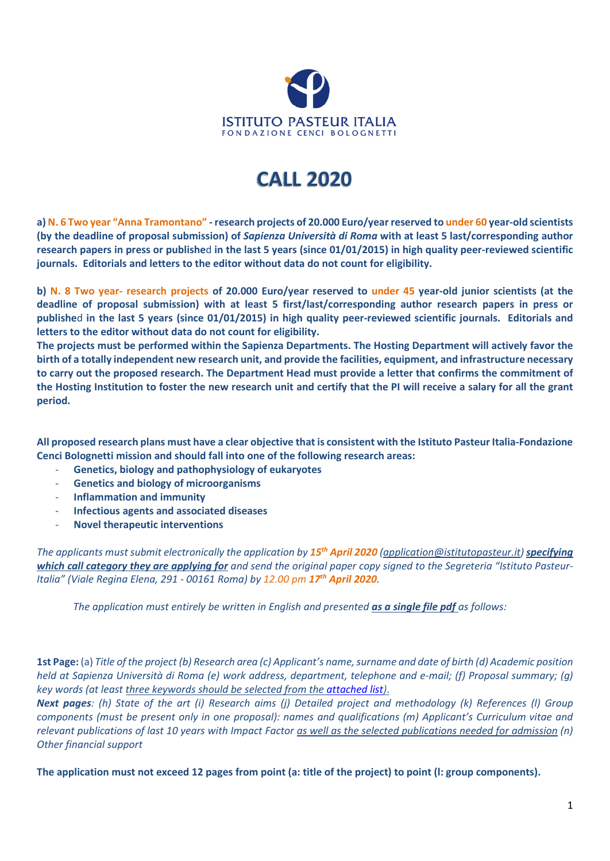

## **CALL 2020**

**a) N. 6 Two year "Anna Tramontano" - research projects of 20.000 Euro/year reserved to under 60 year-old scientists (by the deadline of proposal submission) of** *Sapienza Università di Roma* **with at least 5 last/corresponding author research papers in press or publishe**d **in the last 5 years (since 01/01/2015) in high quality peer-reviewed scientific journals. Editorials and letters to the editor without data do not count for eligibility.** 

**b) N. 8 Two year- research projects of 20.000 Euro/year reserved to under 45 year-old junior scientists (at the deadline of proposal submission) with at least 5 first/last/corresponding author research papers in press or publishe**d **in the last 5 years (since 01/01/2015) in high quality peer-reviewed scientific journals. Editorials and letters to the editor without data do not count for eligibility.** 

**The projects must be performed within the Sapienza Departments. The Hosting Department will actively favor the birth of a totally independent new research unit, and provide the facilities, equipment, and infrastructure necessary to carry out the proposed research. The Department Head must provide a letter that confirms the commitment of the Hosting Institution to foster the new research unit and certify that the PI will receive a salary for all the grant period.** 

**All proposed research plans must have a clear objective that is consistent with the Istituto Pasteur Italia-Fondazione Cenci Bolognetti mission and should fall into one of the following research areas:** 

- **Genetics, biology and pathophysiology of eukaryotes**
- **Genetics and biology of microorganisms**
- **Inflammation and immunity**
- **Infectious agents and associated diseases**
- **Novel therapeutic interventions**

*The applicants must submit electronically the application by 15th April 2020 (application@istitutopasteur.it) specifying which call category they are applying for and send the original paper copy signed to the Segreteria "Istituto Pasteur-Italia" (Viale Regina Elena, 291 - 00161 Roma) by 12.00 pm 17th April 2020.* 

*The application must entirely be written in English and presented as a single file pdf as follows:* 

**1st Page:** (a) *Title of the project (b) Research area (c) Applicant's name, surname and date of birth (d) Academic position held at Sapienza Università di Roma (e) work address, department, telephone and e-mail; (f) Proposal summary; (g) key words (at least three keywords should be selected from th[e attached list\)](http://www.istitutopasteur.it/sites/default/files/allegati_notizie/Parole%20chiaveIPCB_0.pdf)*.

*Next pages: (h) State of the art (i) Research aims (j) Detailed project and methodology (k) References (l) Group components (must be present only in one proposal): names and qualifications (m) Applicant's Curriculum vitae and relevant publications of last 10 years with Impact Factor as well as the selected publications needed for admission (n) Other financial support* 

**The application must not exceed 12 pages from point (a: title of the project) to point (l: group components).**